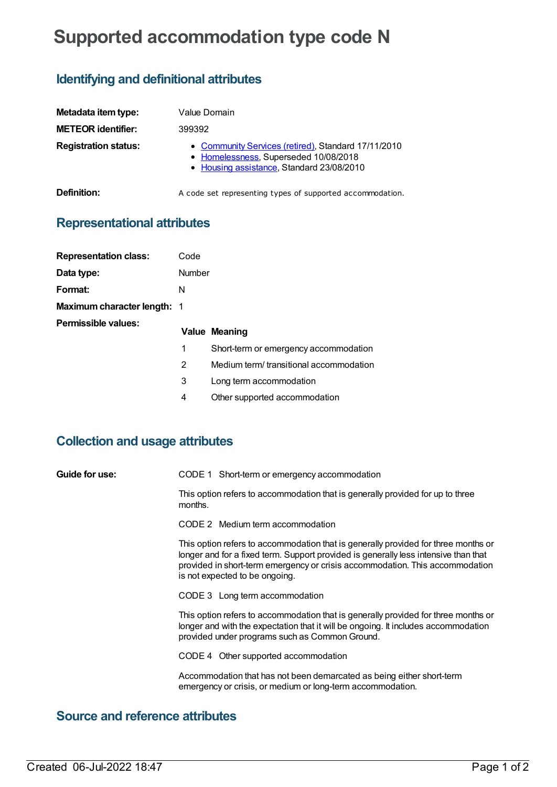# **Supported accommodation type code N**

## **Identifying and definitional attributes**

| Metadata item type:         | Value Domain                                                                                                                              |
|-----------------------------|-------------------------------------------------------------------------------------------------------------------------------------------|
| <b>METEOR identifier:</b>   | 399392                                                                                                                                    |
| <b>Registration status:</b> | • Community Services (retired), Standard 17/11/2010<br>• Homelessness, Superseded 10/08/2018<br>• Housing assistance, Standard 23/08/2010 |
| Definition:                 | A code set representing types of supported accommodation.                                                                                 |

#### **Representational attributes**

| <b>Representation class:</b>       | Code           |                                         |
|------------------------------------|----------------|-----------------------------------------|
| Data type:                         | Number         |                                         |
| Format:                            | N              |                                         |
| <b>Maximum character length: 1</b> |                |                                         |
| Permissible values:                |                | <b>Value Meaning</b>                    |
|                                    | 1              | Short-term or emergency accommodation   |
|                                    | $\overline{2}$ | Medium term/ transitional accommodation |
|                                    | 3              | Long term accommodation                 |

4 Other supported accommodation

### **Collection and usage attributes**

**Guide for use:** CODE 1 Short-term or emergency accommodation

This option refers to accommodation that is generally provided for up to three months.

CODE 2 Medium term accommodation

This option refers to accommodation that is generally provided for three months or longer and for a fixed term. Support provided is generally less intensive than that provided in short-term emergency or crisis accommodation. This accommodation is not expected to be ongoing.

CODE 3 Long term accommodation

This option refers to accommodation that is generally provided for three months or longer and with the expectation that it will be ongoing. It includes accommodation provided under programs such as Common Ground.

CODE 4 Other supported accommodation

Accommodation that has not been demarcated as being either short-term emergency or crisis, or medium or long-term accommodation.

### **Source and reference attributes**